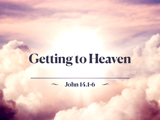# **Getting to Heaven**

#### **John 14.1-6**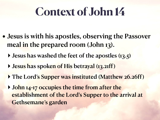### **Context of John 14**

- Jesus is with his apostles, observing the Passover meal in the prepared room (John 13).
	- **I** Jesus has washed the feet of the apostles (13.5)
	- **‣** Jesus has spoken of His betrayal (13.21ff)
	- **‣** The Lord's Supper was instituted (Matthew 26.26ff)
	- **‣** John 14-17 occupies the time from after the establishment of the Lord's Supper to the arrival at Gethsemane's garden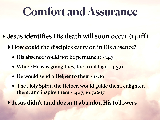#### **Comfort and Assurance**

- Jesus identifies His death will soon occur (14.1ff)
	- **‣** How could the disciples carry on in His absence?
		- His absence would not be permanent 14.3
		- Where He was going they, too, could go 14.3,6
		- He would send a Helper to them 14.16
		- The Holy Spirit, the Helper, would guide them, enlighten them, and inspire them - 14.17; 16.7,12-15
	- **‣** Jesus didn't (and doesn't) abandon His followers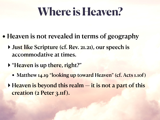### **Where is Heaven?**

- Heaven is not revealed in terms of geography
	- **‣** Just like Scripture (cf. Rev. 21.21), our speech is accommodative at times.
	- **‣** "Heaven is up there, right?"
		- Matthew 14.19 "looking up toward Heaven" (cf. Acts 1.10f)
	- **‣** Heaven is beyond this realm it is not a part of this creation (2 Peter 3.11f).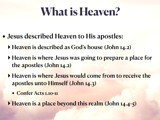## **What is Heaven?**

- Jesus described Heaven to His apostles:
	- **‣** Heaven is described as God's house (John 14.2)
	- **‣** Heaven is where Jesus was going to prepare a place for the apostles (John 14.2)
	- **‣** Heaven is where Jesus would come from to receive the apostles unto Himself (John 14.3)
		- Confer Acts 1.10-11
	- **Heaven is a place beyond this realm (John 14.4-5)**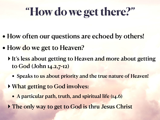# **"How do we get there?"**

- How often our questions are echoed by others!
- How do we get to Heaven?
	- **‣** It's less about getting to Heaven and more about getting to God (John 14.2,7-12)
		- Speaks to us about priority and the true nature of Heaven!
	- **‣** What getting to God involves:
		- A particular path, truth, and spiritual life (14.6)
	- **The only way to get to God is thru Jesus Christ**